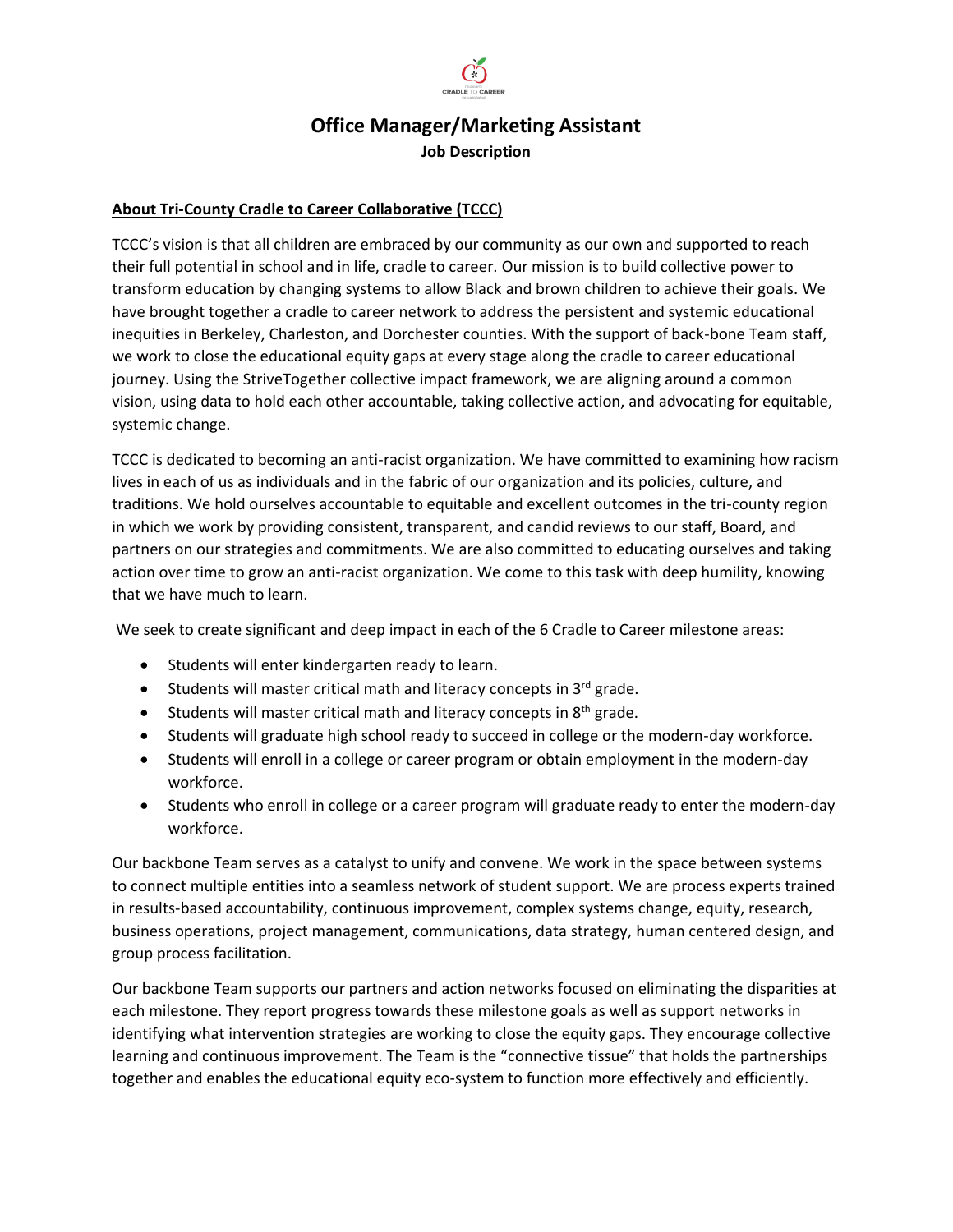

# **Office Manager/Marketing Assistant Job Description**

### **About Tri-County Cradle to Career Collaborative (TCCC)**

TCCC's vision is that all children are embraced by our community as our own and supported to reach their full potential in school and in life, cradle to career. Our mission is to build collective power to transform education by changing systems to allow Black and brown children to achieve their goals. We have brought together a cradle to career network to address the persistent and systemic educational inequities in Berkeley, Charleston, and Dorchester counties. With the support of back-bone Team staff, we work to close the educational equity gaps at every stage along the cradle to career educational journey. Using the StriveTogether collective impact framework, we are aligning around a common vision, using data to hold each other accountable, taking collective action, and advocating for equitable, systemic change.

TCCC is dedicated to becoming an anti-racist organization. We have committed to examining how racism lives in each of us as individuals and in the fabric of our organization and its policies, culture, and traditions. We hold ourselves accountable to equitable and excellent outcomes in the tri-county region in which we work by providing consistent, transparent, and candid reviews to our staff, Board, and partners on our strategies and commitments. We are also committed to educating ourselves and taking action over time to grow an anti-racist organization. We come to this task with deep humility, knowing that we have much to learn.

We seek to create significant and deep impact in each of the 6 Cradle to Career milestone areas:

- Students will enter kindergarten ready to learn.
- Students will master critical math and literacy concepts in  $3^{rd}$  grade.
- Students will master critical math and literacy concepts in  $8<sup>th</sup>$  grade.
- Students will graduate high school ready to succeed in college or the modern-day workforce.
- Students will enroll in a college or career program or obtain employment in the modern-day workforce.
- Students who enroll in college or a career program will graduate ready to enter the modern-day workforce.

Our backbone Team serves as a catalyst to unify and convene. We work in the space between systems to connect multiple entities into a seamless network of student support. We are process experts trained in results-based accountability, continuous improvement, complex systems change, equity, research, business operations, project management, communications, data strategy, human centered design, and group process facilitation.

Our backbone Team supports our partners and action networks focused on eliminating the disparities at each milestone. They report progress towards these milestone goals as well as support networks in identifying what intervention strategies are working to close the equity gaps. They encourage collective learning and continuous improvement. The Team is the "connective tissue" that holds the partnerships together and enables the educational equity eco-system to function more effectively and efficiently.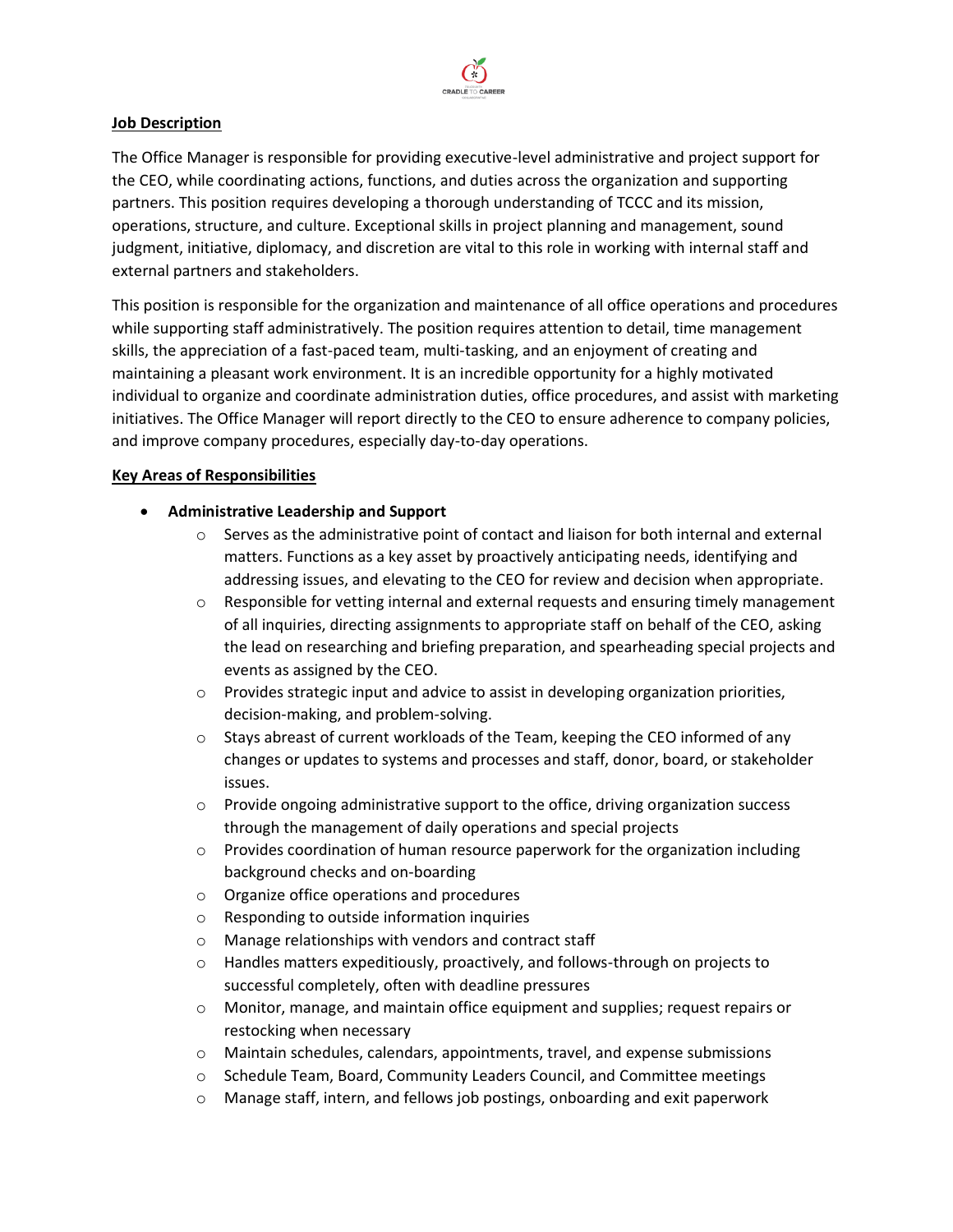

#### **Job Description**

The Office Manager is responsible for providing executive-level administrative and project support for the CEO, while coordinating actions, functions, and duties across the organization and supporting partners. This position requires developing a thorough understanding of TCCC and its mission, operations, structure, and culture. Exceptional skills in project planning and management, sound judgment, initiative, diplomacy, and discretion are vital to this role in working with internal staff and external partners and stakeholders.

This position is responsible for the organization and maintenance of all office operations and procedures while supporting staff administratively. The position requires attention to detail, time management skills, the appreciation of a fast-paced team, multi-tasking, and an enjoyment of creating and maintaining a pleasant work environment. It is an incredible opportunity for a highly motivated individual to organize and coordinate administration duties, office procedures, and assist with marketing initiatives. The Office Manager will report directly to the CEO to ensure adherence to company policies, and improve company procedures, especially day-to-day operations.

### **Key Areas of Responsibilities**

- **Administrative Leadership and Support**
	- $\circ$  Serves as the administrative point of contact and liaison for both internal and external matters. Functions as a key asset by proactively anticipating needs, identifying and addressing issues, and elevating to the CEO for review and decision when appropriate.
	- $\circ$  Responsible for vetting internal and external requests and ensuring timely management of all inquiries, directing assignments to appropriate staff on behalf of the CEO, asking the lead on researching and briefing preparation, and spearheading special projects and events as assigned by the CEO.
	- $\circ$  Provides strategic input and advice to assist in developing organization priorities, decision-making, and problem-solving.
	- $\circ$  Stays abreast of current workloads of the Team, keeping the CEO informed of any changes or updates to systems and processes and staff, donor, board, or stakeholder issues.
	- $\circ$  Provide ongoing administrative support to the office, driving organization success through the management of daily operations and special projects
	- $\circ$  Provides coordination of human resource paperwork for the organization including background checks and on-boarding
	- o Organize office operations and procedures
	- o Responding to outside information inquiries
	- o Manage relationships with vendors and contract staff
	- o Handles matters expeditiously, proactively, and follows-through on projects to successful completely, often with deadline pressures
	- o Monitor, manage, and maintain office equipment and supplies; request repairs or restocking when necessary
	- o Maintain schedules, calendars, appointments, travel, and expense submissions
	- o Schedule Team, Board, Community Leaders Council, and Committee meetings
	- o Manage staff, intern, and fellows job postings, onboarding and exit paperwork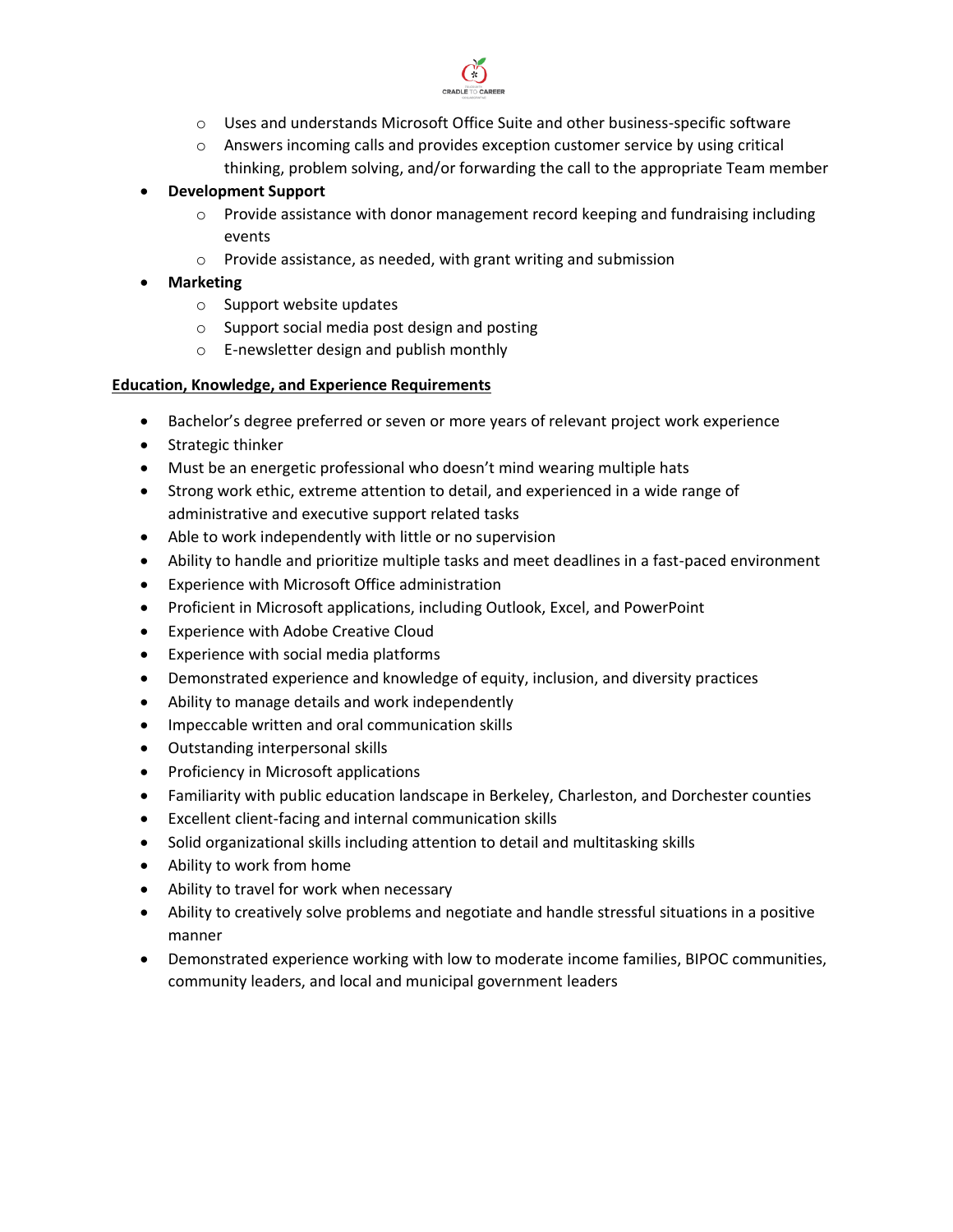

- o Uses and understands Microsoft Office Suite and other business-specific software
- $\circ$  Answers incoming calls and provides exception customer service by using critical thinking, problem solving, and/or forwarding the call to the appropriate Team member

## • **Development Support**

- $\circ$  Provide assistance with donor management record keeping and fundraising including events
- o Provide assistance, as needed, with grant writing and submission

# • **Marketing**

- o Support website updates
- o Support social media post design and posting
- o E-newsletter design and publish monthly

### **Education, Knowledge, and Experience Requirements**

- Bachelor's degree preferred or seven or more years of relevant project work experience
- Strategic thinker
- Must be an energetic professional who doesn't mind wearing multiple hats
- Strong work ethic, extreme attention to detail, and experienced in a wide range of administrative and executive support related tasks
- Able to work independently with little or no supervision
- Ability to handle and prioritize multiple tasks and meet deadlines in a fast-paced environment
- Experience with Microsoft Office administration
- Proficient in Microsoft applications, including Outlook, Excel, and PowerPoint
- Experience with Adobe Creative Cloud
- Experience with social media platforms
- Demonstrated experience and knowledge of equity, inclusion, and diversity practices
- Ability to manage details and work independently
- Impeccable written and oral communication skills
- Outstanding interpersonal skills
- Proficiency in Microsoft applications
- Familiarity with public education landscape in Berkeley, Charleston, and Dorchester counties
- Excellent client-facing and internal communication skills
- Solid organizational skills including attention to detail and multitasking skills
- Ability to work from home
- Ability to travel for work when necessary
- Ability to creatively solve problems and negotiate and handle stressful situations in a positive manner
- Demonstrated experience working with low to moderate income families, BIPOC communities, community leaders, and local and municipal government leaders